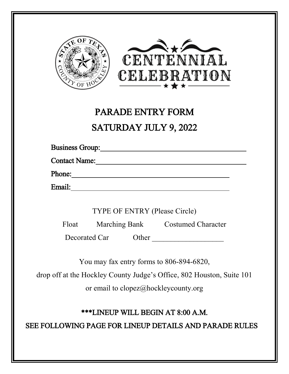



# PARADE ENTRY FORM SATURDAY JULY 9, 2022

Business Group:

Contact Name:

Phone: 2000 and 2000 and 2000 and 2000 and 2000 and 2000 and 2000 and 2000 and 2000 and 2000 and 2000 and 2000 and 2000 and 2000 and 2000 and 2000 and 2000 and 2000 and 2000 and 2000 and 2000 and 2000 and 2000 and 2000 and

Email:

TYPE OF ENTRY (Please Circle)

Float Marching Bank Costumed Character

Decorated Car Other \_\_\_\_\_\_\_\_\_\_\_\_\_\_\_\_\_\_\_

You may fax entry forms to 806-894-6820,

drop off at the Hockley County Judge's Office, 802 Houston, Suite 101

or email to clopez@hockleycounty.org

## \*\*\*LINEUP WILL BEGIN AT 8:00 A.M.

SEE FOLLOWING PAGE FOR LINEUP DETAILS AND PARADE RULES